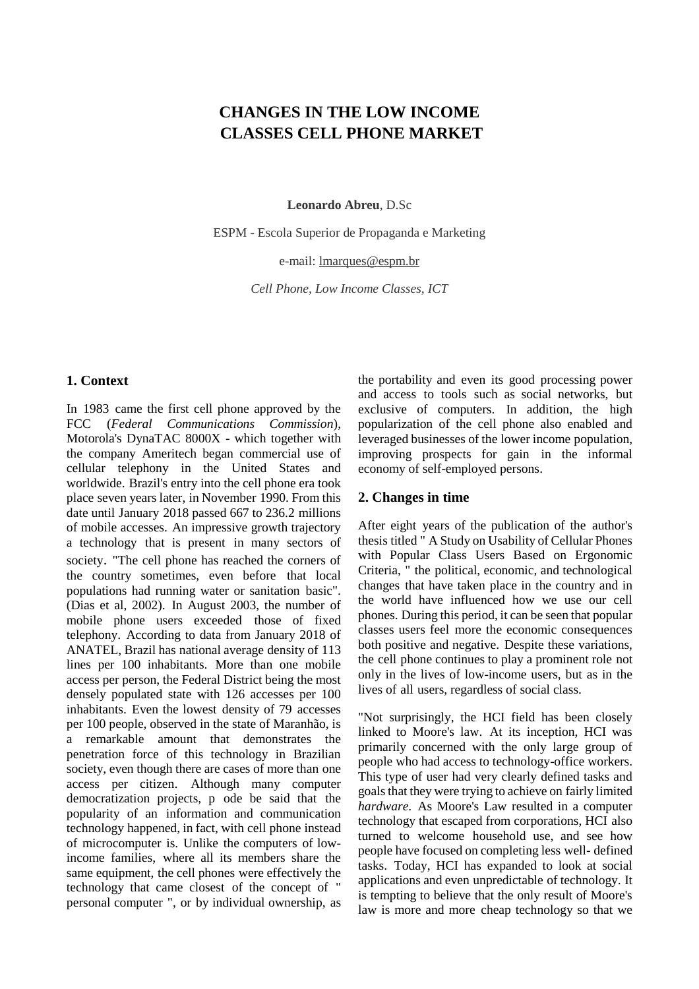# **CHANGES IN THE LOW INCOME CLASSES CELL PHONE MARKET**

**Leonardo Abreu**, D.Sc

ESPM - Escola Superior de Propaganda e Marketing

e-mail: [lmarques@espm.br](mailto:autor1@xxxyy.com.br)

*Cell Phone, Low Income Classes, ICT*

### **1. Context**

In 1983 came the first cell phone approved by the FCC (*Federal Communications Commission*), Motorola's DynaTAC 8000X - which together with the company Ameritech began commercial use of cellular telephony in the United States and worldwide. Brazil's entry into the cell phone era took place seven years later, in November 1990. From this date until January 2018 passed 667 to 236.2 millions of mobile accesses. An impressive growth trajectory a technology that is present in many sectors of society. "The cell phone has reached the corners of the country sometimes, even before that local populations had running water or sanitation basic". (Dias et al, 2002). In August 2003, the number of mobile phone users exceeded those of fixed telephony. According to data from January 2018 of ANATEL, Brazil has national average density of 113 lines per 100 inhabitants. More than one mobile access per person, the Federal District being the most densely populated state with 126 accesses per 100 inhabitants. Even the lowest density of 79 accesses per 100 people, observed in the state of Maranhão, is a remarkable amount that demonstrates the penetration force of this technology in Brazilian society, even though there are cases of more than one access per citizen. Although many computer democratization projects, p ode be said that the popularity of an information and communication technology happened, in fact, with cell phone instead of microcomputer is. Unlike the computers of lowincome families, where all its members share the same equipment, the cell phones were effectively the technology that came closest of the concept of " personal computer ", or by individual ownership, as the portability and even its good processing power and access to tools such as social networks, but exclusive of computers. In addition, the high popularization of the cell phone also enabled and leveraged businesses of the lower income population, improving prospects for gain in the informal economy of self-employed persons.

#### **2. Changes in time**

After eight years of the publication of the author's thesis titled " A Study on Usability of Cellular Phones with Popular Class Users Based on Ergonomic Criteria, " the political, economic, and technological changes that have taken place in the country and in the world have influenced how we use our cell phones. During this period, it can be seen that popular classes users feel more the economic consequences both positive and negative. Despite these variations, the cell phone continues to play a prominent role not only in the lives of low-income users, but as in the lives of all users, regardless of social class.

"Not surprisingly, the HCI field has been closely linked to Moore's law. At its inception, HCI was primarily concerned with the only large group of people who had access to technology-office workers. This type of user had very clearly defined tasks and goals that they were trying to achieve on fairly limited *hardware*. As Moore's Law resulted in a computer technology that escaped from corporations, HCI also turned to welcome household use, and see how people have focused on completing less well- defined tasks. Today, HCI has expanded to look at social applications and even unpredictable of technology. It is tempting to believe that the only result of Moore's law is more and more cheap technology so that we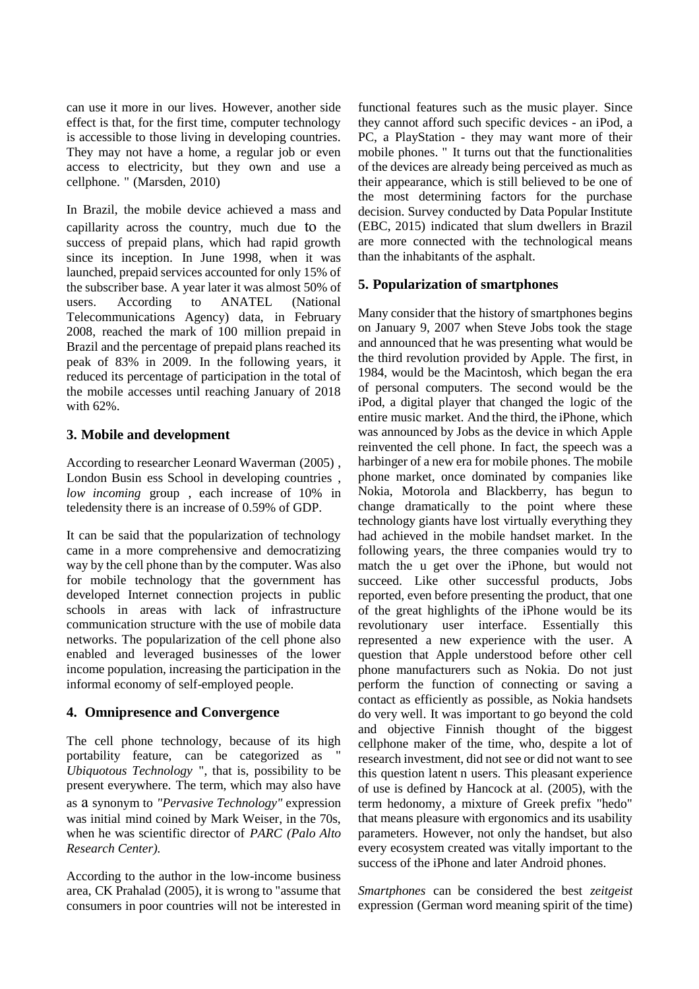can use it more in our lives. However, another side effect is that, for the first time, computer technology is accessible to those living in developing countries. They may not have a home, a regular job or even access to electricity, but they own and use a cellphone. " (Marsden, 2010)

In Brazil, the mobile device achieved a mass and capillarity across the country, much due to the success of prepaid plans, which had rapid growth since its inception. In June 1998, when it was launched, prepaid services accounted for only 15% of the subscriber base. A year later it was almost 50% of users. According to ANATEL (National Telecommunications Agency) data, in February 2008, reached the mark of 100 million prepaid in Brazil and the percentage of prepaid plans reached its peak of 83% in 2009. In the following years, it reduced its percentage of participation in the total of the mobile accesses until reaching January of 2018 with 62%.

## **3. Mobile and development**

According to researcher Leonard Waverman (2005) , London Busin ess School in developing countries , *low incoming* group , each increase of 10% in teledensity there is an increase of 0.59% of GDP.

It can be said that the popularization of technology came in a more comprehensive and democratizing way by the cell phone than by the computer. Was also for mobile technology that the government has developed Internet connection projects in public schools in areas with lack of infrastructure communication structure with the use of mobile data networks. The popularization of the cell phone also enabled and leveraged businesses of the lower income population, increasing the participation in the informal economy of self-employed people.

# **4. Omnipresence and Convergence**

The cell phone technology, because of its high portability feature, can be categorized as " *Ubiquotous Technology* ", that is, possibility to be present everywhere. The term, which may also have as a synonym to *"Pervasive Technology"* expression was initial mind coined by Mark Weiser, in the 70s, when he was scientific director of *PARC (Palo Alto Research Center).*

According to the author in the low-income business area, CK Prahalad (2005), it is wrong to "assume that consumers in poor countries will not be interested in

functional features such as the music player. Since they cannot afford such specific devices - an iPod, a PC, a PlayStation - they may want more of their mobile phones. " It turns out that the functionalities of the devices are already being perceived as much as their appearance, which is still believed to be one of the most determining factors for the purchase decision. Survey conducted by Data Popular Institute (EBC, 2015) indicated that slum dwellers in Brazil are more connected with the technological means than the inhabitants of the asphalt.

# **5. Popularization of smartphones**

Many consider that the history of smartphones begins on January 9, 2007 when Steve Jobs took the stage and announced that he was presenting what would be the third revolution provided by Apple. The first, in 1984, would be the Macintosh, which began the era of personal computers. The second would be the iPod, a digital player that changed the logic of the entire music market. And the third, the iPhone, which was announced by Jobs as the device in which Apple reinvented the cell phone. In fact, the speech was a harbinger of a new era for mobile phones. The mobile phone market, once dominated by companies like Nokia, Motorola and Blackberry, has begun to change dramatically to the point where these technology giants have lost virtually everything they had achieved in the mobile handset market. In the following years, the three companies would try to match the u get over the iPhone, but would not succeed. Like other successful products, Jobs reported, even before presenting the product, that one of the great highlights of the iPhone would be its revolutionary user interface. Essentially this represented a new experience with the user. A question that Apple understood before other cell phone manufacturers such as Nokia. Do not just perform the function of connecting or saving a contact as efficiently as possible, as Nokia handsets do very well. It was important to go beyond the cold and objective Finnish thought of the biggest cellphone maker of the time, who, despite a lot of research investment, did not see or did not want to see this question latent n users. This pleasant experience of use is defined by Hancock at al. (2005), with the term hedonomy, a mixture of Greek prefix "hedo" that means pleasure with ergonomics and its usability parameters. However, not only the handset, but also every ecosystem created was vitally important to the success of the iPhone and later Android phones.

*Smartphones* can be considered the best *zeitgeist* expression (German word meaning spirit of the time)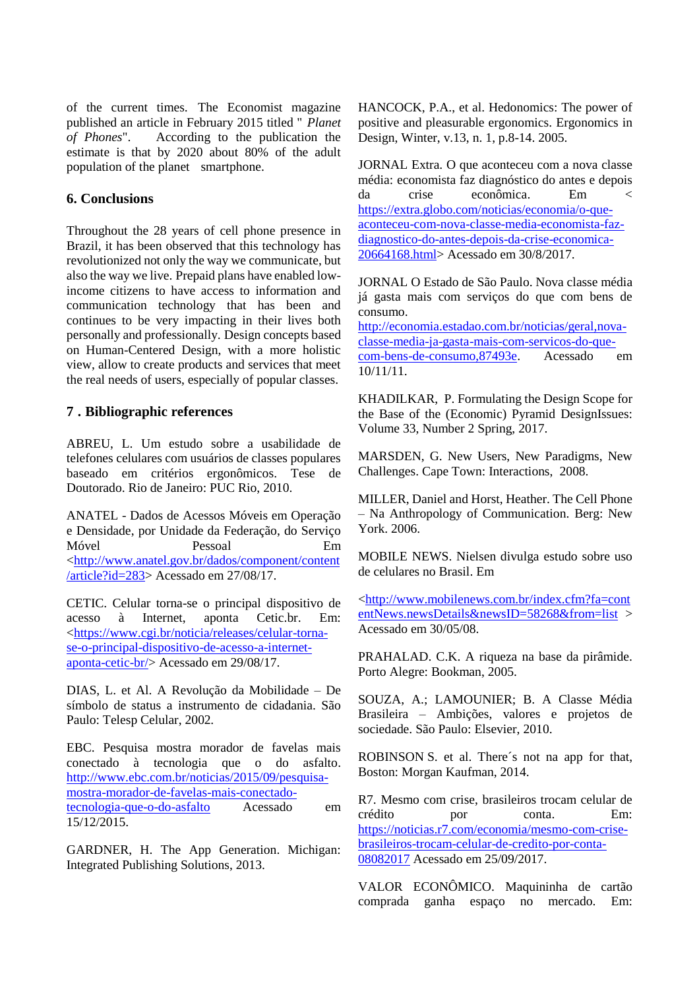of the current times. The Economist magazine published an article in February 2015 titled " *Planet of Phones*". According to the publication the estimate is that by 2020 about 80% of the adult population of the planet smartphone.

#### **6. Conclusions**

Throughout the 28 years of cell phone presence in Brazil, it has been observed that this technology has revolutionized not only the way we communicate, but also the way we live. Prepaid plans have enabled lowincome citizens to have access to information and communication technology that has been and continues to be very impacting in their lives both personally and professionally. Design concepts based on Human-Centered Design, with a more holistic view, allow to create products and services that meet the real needs of users, especially of popular classes.

### **7 . Bibliographic references**

ABREU, L. Um estudo sobre a usabilidade de telefones celulares com usuários de classes populares baseado em critérios ergonômicos. Tese de Doutorado. Rio de Janeiro: PUC Rio, 2010.

ANATEL - Dados de Acessos Móveis em Operação e Densidade, por Unidade da Federação, do Serviço Móvel Pessoal Em [<http://www.anatel.gov.br/dados/component/content](http://www.anatel.gov.br/dados/component/content/article?id=283) [/article?id=283>](http://www.anatel.gov.br/dados/component/content/article?id=283) Acessado em 27/08/17.

CETIC. Celular torna-se o principal dispositivo de acesso à Internet, aponta Cetic.br. Em: [<https://www.cgi.br/noticia/releases/celular-torna](https://www.cgi.br/noticia/releases/celular-torna-se-o-principal-dispositivo-de-acesso-a-internet-aponta-cetic-br/)[se-o-principal-dispositivo-de-acesso-a-internet](https://www.cgi.br/noticia/releases/celular-torna-se-o-principal-dispositivo-de-acesso-a-internet-aponta-cetic-br/)[aponta-cetic-br/>](https://www.cgi.br/noticia/releases/celular-torna-se-o-principal-dispositivo-de-acesso-a-internet-aponta-cetic-br/) Acessado em 29/08/17.

DIAS, L. et Al. A Revolução da Mobilidade – De símbolo de status a instrumento de cidadania. São Paulo: Telesp Celular, 2002.

EBC. Pesquisa mostra morador de favelas mais conectado à tecnologia que o do asfalto. [http://www.ebc.com.br/noticias/2015/09/pesquisa](http://www.ebc.com.br/noticias/2015/09/pesquisa-mostra-morador-de-favelas-mais-conectado-tecnologia-que-o-do-asfalto)[mostra-morador-de-favelas-mais-conectado](http://www.ebc.com.br/noticias/2015/09/pesquisa-mostra-morador-de-favelas-mais-conectado-tecnologia-que-o-do-asfalto)[tecnologia-que-o-do-asfalto](http://www.ebc.com.br/noticias/2015/09/pesquisa-mostra-morador-de-favelas-mais-conectado-tecnologia-que-o-do-asfalto) Acessado em 15/12/2015.

GARDNER, H. The App Generation. Michigan: Integrated Publishing Solutions, 2013.

HANCOCK, P.A., et al. Hedonomics: The power of positive and pleasurable ergonomics. Ergonomics in Design, Winter, v.13, n. 1, p.8-14. 2005.

JORNAL Extra. O que aconteceu com a nova classe média: economista faz diagnóstico do antes e depois da crise econômica. Em < [https://extra.globo.com/noticias/economia/o-que](https://extra.globo.com/noticias/economia/o-que-aconteceu-com-nova-classe-media-economista-faz-diagnostico-do-antes-depois-da-crise-economica-20664168.html)[aconteceu-com-nova-classe-media-economista-faz](https://extra.globo.com/noticias/economia/o-que-aconteceu-com-nova-classe-media-economista-faz-diagnostico-do-antes-depois-da-crise-economica-20664168.html)[diagnostico-do-antes-depois-da-crise-economica-](https://extra.globo.com/noticias/economia/o-que-aconteceu-com-nova-classe-media-economista-faz-diagnostico-do-antes-depois-da-crise-economica-20664168.html)[20664168.html>](https://extra.globo.com/noticias/economia/o-que-aconteceu-com-nova-classe-media-economista-faz-diagnostico-do-antes-depois-da-crise-economica-20664168.html) Acessado em 30/8/2017.

JORNAL O Estado de São Paulo. Nova classe média já gasta mais com serviços do que com bens de consumo.

[http://economia.estadao.com.br/noticias/geral,nova](http://economia.estadao.com.br/noticias/geral,nova-classe-media-ja-gasta-mais-com-servicos-do-que-com-bens-de-consumo,87493e)[classe-media-ja-gasta-mais-com-servicos-do-que](http://economia.estadao.com.br/noticias/geral,nova-classe-media-ja-gasta-mais-com-servicos-do-que-com-bens-de-consumo,87493e)[com-bens-de-consumo,87493e.](http://economia.estadao.com.br/noticias/geral,nova-classe-media-ja-gasta-mais-com-servicos-do-que-com-bens-de-consumo,87493e) Acessado em 10/11/11.

KHADILKAR, P. Formulating the Design Scope for the Base of the (Economic) Pyramid DesignIssues: Volume 33, Number 2 Spring, 2017.

MARSDEN, G. New Users, New Paradigms, New Challenges. Cape Town: Interactions, 2008.

MILLER, Daniel and Horst, Heather. The Cell Phone – Na Anthropology of Communication. Berg: New York. 2006.

MOBILE NEWS. Nielsen divulga estudo sobre uso de celulares no Brasil. Em

[<http://www.mobilenews.com.br/index.cfm?fa=cont](http://www.mobilenews.com.br/index.cfm?fa=contentNews.newsDetails&newsID=58268&from=list) [entNews.newsDetails&newsID=58268&from=list](http://www.mobilenews.com.br/index.cfm?fa=contentNews.newsDetails&newsID=58268&from=list) > Acessado em 30/05/08.

PRAHALAD. C.K. A riqueza na base da pirâmide. Porto Alegre: Bookman, 2005.

SOUZA, A.; LAMOUNIER; B. A Classe Média Brasileira – Ambições, valores e projetos de sociedade. São Paulo: Elsevier, 2010.

ROBINSON S. et al. There´s not na app for that, Boston: Morgan Kaufman, 2014.

R7. Mesmo com crise, brasileiros trocam celular de crédito por conta. Em: [https://noticias.r7.com/economia/mesmo-com-crise](https://noticias.r7.com/economia/mesmo-com-crise-brasileiros-trocam-celular-de-credito-por-conta-08082017)[brasileiros-trocam-celular-de-credito-por-conta-](https://noticias.r7.com/economia/mesmo-com-crise-brasileiros-trocam-celular-de-credito-por-conta-08082017)[08082017](https://noticias.r7.com/economia/mesmo-com-crise-brasileiros-trocam-celular-de-credito-por-conta-08082017) Acessado em 25/09/2017.

VALOR ECONÔMICO. Maquininha de cartão comprada ganha espaço no mercado. Em: